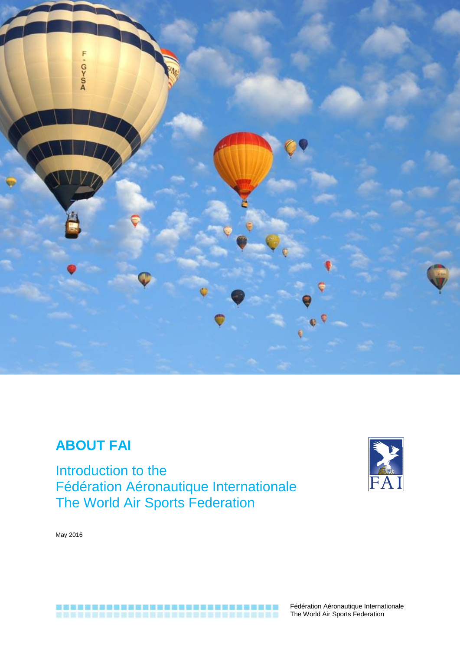

# **ABOUT FAI**

Introduction to the Fédération Aéronautique Internationale The World Air Sports Federation



May 2016



Fédération Aéronautique Internationale The World Air Sports Federation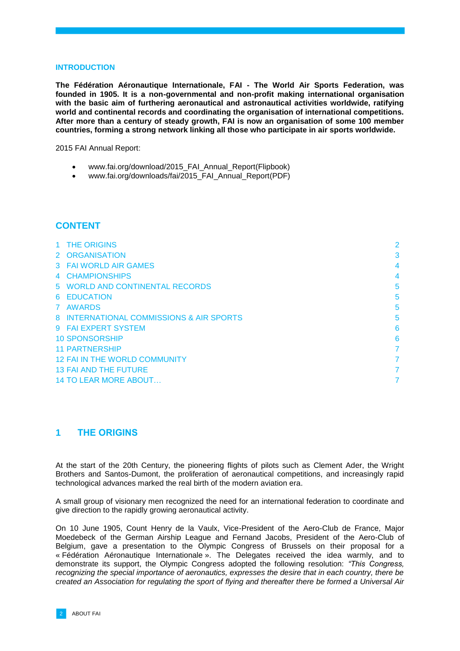#### **INTRODUCTION**

**The Fédération Aéronautique Internationale, FAI - The World Air Sports Federation, was founded in 1905. It is a non-governmental and non-profit making international organisation with the basic aim of furthering aeronautical and astronautical activities worldwide, ratifying world and continental records and coordinating the organisation of international competitions. After more than a century of steady growth, FAI is now an organisation of some 100 member countries, forming a strong network linking all those who participate in air sports worldwide.**

2015 FAI Annual Report:

- [www.fai.org/download/2015\\_FAI\\_Annual\\_Report\(](http://www.fai.org/download/2015_FAI_Annual_Report)Flipbook)
- [www.fai.org/downloads/fai/2015\\_FAI\\_Annual\\_Report\(](http://www.fai.org/downloads/fai/2015_FAI_Annual_Report)PDF)

## **CONTENT**

| 1 THE ORIGINS                            | 2 |
|------------------------------------------|---|
| 2 ORGANISATION                           | 3 |
| 3 FAI WORLD AIR GAMES                    | 4 |
| 4 CHAMPIONSHIPS                          | 4 |
| 5 WORLD AND CONTINENTAL RECORDS          | 5 |
| 6 EDUCATION                              | 5 |
| 7 AWARDS                                 | 5 |
| 8 INTERNATIONAL COMMISSIONS & AIR SPORTS | 5 |
| 9 FAI EXPERT SYSTEM                      | 6 |
| <b>10 SPONSORSHIP</b>                    | 6 |
| <b>11 PARTNERSHIP</b>                    | 7 |
| <b>12 FAI IN THE WORLD COMMUNITY</b>     | 7 |
| <b>13 FAI AND THE FUTURE</b>             | 7 |
| <b>14 TO LEAR MORE ABOUT</b>             |   |

## <span id="page-1-0"></span>**1 THE ORIGINS**

At the start of the 20th Century, the pioneering flights of pilots such as Clement Ader, the Wright Brothers and Santos-Dumont, the proliferation of aeronautical competitions, and increasingly rapid technological advances marked the real birth of the modern aviation era.

A small group of visionary men recognized the need for an international federation to coordinate and give direction to the rapidly growing aeronautical activity.

On 10 June 1905, Count Henry de la Vaulx, Vice-President of the Aero-Club de France, Major Moedebeck of the German Airship League and Fernand Jacobs, President of the Aero-Club of Belgium, gave a presentation to the Olympic Congress of Brussels on their proposal for a « Fédération Aéronautique Internationale ». The Delegates received the idea warmly, and to demonstrate its support, the Olympic Congress adopted the following resolution: *"This Congress, recognizing the special importance of aeronautics, expresses the desire that in each country, there be created an Association for regulating the sport of flying and thereafter there be formed a Universal Air*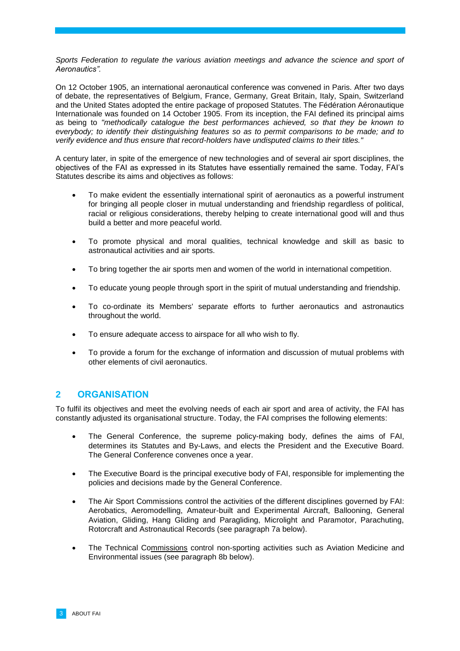*Sports Federation to regulate the various aviation meetings and advance the science and sport of Aeronautics".*

On 12 October 1905, an international aeronautical conference was convened in Paris. After two days of debate, the representatives of Belgium, France, Germany, Great Britain, Italy, Spain, Switzerland and the United States adopted the entire package of proposed Statutes. The Fédération Aéronautique Internationale was founded on 14 October 1905. From its inception, the FAI defined its principal aims as being to *"methodically catalogue the best performances achieved, so that they be known to everybody; to identify their distinguishing features so as to permit comparisons to be made; and to verify evidence and thus ensure that record-holders have undisputed claims to their titles."*

A century later, in spite of the emergence of new technologies and of several air sport disciplines, the objectives of the FAI as expressed in its Statutes have essentially remained the same. Today, FAI's Statutes describe its aims and objectives as follows:

- To make evident the essentially international spirit of aeronautics as a powerful instrument for bringing all people closer in mutual understanding and friendship regardless of political, racial or religious considerations, thereby helping to create international good will and thus build a better and more peaceful world.
- To promote physical and moral qualities, technical knowledge and skill as basic to astronautical activities and air sports.
- To bring together the air sports men and women of the world in international competition.
- To educate young people through sport in the spirit of mutual understanding and friendship.
- To co-ordinate its Members' separate efforts to further aeronautics and astronautics throughout the world.
- To ensure adequate access to airspace for all who wish to fly.
- To provide a forum for the exchange of information and discussion of mutual problems with other elements of civil aeronautics.

## <span id="page-2-0"></span>**2 ORGANISATION**

To fulfil its objectives and meet the evolving needs of each air sport and area of activity, the FAI has constantly adjusted its organisational structure. Today, the FAI comprises the following elements:

- The General Conference, the supreme policy-making body, defines the aims of FAI, determines its Statutes and By-Laws, and elects the President and the Executive Board. The General Conference convenes once a year.
- The Executive Board is the principal executive body of FAI, responsible for implementing the policies and decisions made by the General Conference.
- The Air Sport Commissions control the activities of the different disciplines governed by FAI: Aerobatics, Aeromodelling, Amateur-built and Experimental Aircraft, Ballooning, General Aviation, Gliding, Hang Gliding and Paragliding, Microlight and Paramotor, Parachuting, Rotorcraft and Astronautical Records (see paragraph 7a below).
- The Technical Commissions control non-sporting activities such as Aviation Medicine and Environmental issues (see paragraph 8b below).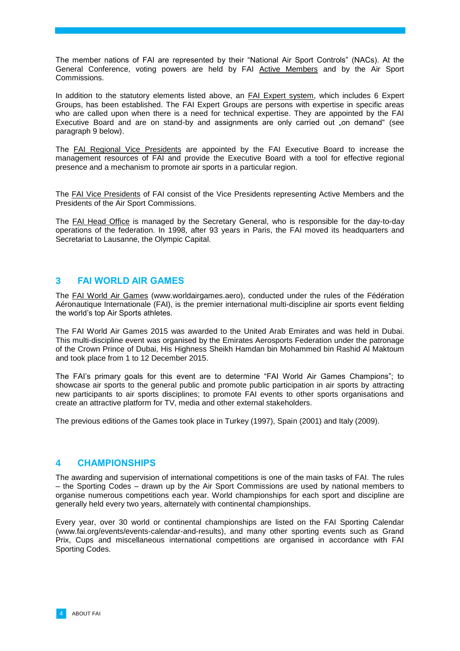The member nations of FAI are represented by their "National Air Sport Controls" (NACs). At the General Conference, voting powers are held by FAI Active Members and by the Air Sport Commissions.

In addition to the statutory elements listed above, an FAI Expert system, which includes 6 Expert Groups, has been established. The FAI Expert Groups are persons with expertise in specific areas who are called upon when there is a need for technical expertise. They are appointed by the FAI Executive Board and are on stand-by and assignments are only carried out "on demand" (see paragraph 9 below).

The FAI Regional Vice Presidents are appointed by the FAI Executive Board to increase the management resources of FAI and provide the Executive Board with a tool for effective regional presence and a mechanism to promote air sports in a particular region.

The FAI Vice Presidents of FAI consist of the Vice Presidents representing Active Members and the Presidents of the Air Sport Commissions.

The FAI Head Office is managed by the Secretary General, who is responsible for the day-to-day operations of the federation. In 1998, after 93 years in Paris, the FAI moved its headquarters and Secretariat to Lausanne, the Olympic Capital.

## <span id="page-3-0"></span>**3 FAI WORLD AIR GAMES**

The FAI World Air Games [\(www.worldairgames.aero\)](http://www.worldairgames.aero/), conducted under the rules of the Fédération Aéronautique Internationale (FAI), is the premier international multi-discipline air sports event fielding the world's top Air Sports athletes.

The FAI World Air Games 2015 was awarded to the United Arab Emirates and was held in Dubai. This multi-discipline event was organised by the Emirates Aerosports Federation under the patronage of the Crown Prince of Dubai, His Highness Sheikh Hamdan bin Mohammed bin Rashid Al Maktoum and took place from 1 to 12 December 2015.

The FAI's primary goals for this event are to determine "FAI World Air Games Champions"; to showcase air sports to the general public and promote public participation in air sports by attracting new participants to air sports disciplines; to promote FAI events to other sports organisations and create an attractive platform for TV, media and other external stakeholders.

The previous editions of the Games took place in Turkey (1997), Spain (2001) and Italy (2009).

#### <span id="page-3-1"></span>**4 CHAMPIONSHIPS**

The awarding and supervision of international competitions is one of the main tasks of FAI. The rules – the Sporting Codes – drawn up by the Air Sport Commissions are used by national members to organise numerous competitions each year. World championships for each sport and discipline are generally held every two years, alternately with continental championships.

Every year, over 30 world or continental championships are listed on the FAI Sporting Calendar [\(www.fai.org/events/events-calendar-and-results\)](http://www.fai.org/events/events-calendar-and-results), and many other sporting events such as Grand Prix, Cups and miscellaneous international competitions are organised in accordance with FAI Sporting Codes.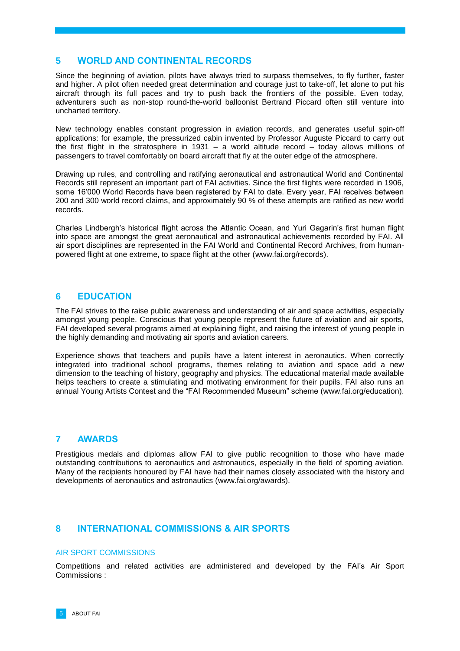## <span id="page-4-0"></span>**5 WORLD AND CONTINENTAL RECORDS**

Since the beginning of aviation, pilots have always tried to surpass themselves, to fly further, faster and higher. A pilot often needed great determination and courage just to take-off, let alone to put his aircraft through its full paces and try to push back the frontiers of the possible. Even today, adventurers such as non-stop round-the-world balloonist Bertrand Piccard often still venture into uncharted territory.

New technology enables constant progression in aviation records, and generates useful spin-off applications: for example, the pressurized cabin invented by Professor Auguste Piccard to carry out the first flight in the stratosphere in 1931 – a world altitude record – today allows millions of passengers to travel comfortably on board aircraft that fly at the outer edge of the atmosphere.

Drawing up rules, and controlling and ratifying aeronautical and astronautical World and Continental Records still represent an important part of FAI activities. Since the first flights were recorded in 1906, some 16'000 World Records have been registered by FAI to date. Every year, FAI receives between 200 and 300 world record claims, and approximately 90 % of these attempts are ratified as new world records.

Charles Lindbergh's historical flight across the Atlantic Ocean, and Yuri Gagarin's first human flight into space are amongst the great aeronautical and astronautical achievements recorded by FAI. All air sport disciplines are represented in the FAI World and Continental Record Archives, from humanpowered flight at one extreme, to space flight at the other [\(www.fai.org/records\)](http://www.fai.org/records).

## <span id="page-4-1"></span>**6 EDUCATION**

The FAI strives to the raise public awareness and understanding of air and space activities, especially amongst young people. Conscious that young people represent the future of aviation and air sports, FAI developed several programs aimed at explaining flight, and raising the interest of young people in the highly demanding and motivating air sports and aviation careers.

Experience shows that teachers and pupils have a latent interest in aeronautics. When correctly integrated into traditional school programs, themes relating to aviation and space add a new dimension to the teaching of history, geography and physics. The educational material made available helps teachers to create a stimulating and motivating environment for their pupils. FAI also runs an annual Young Artists Contest and the "FAI Recommended Museum" scheme [\(www.fai.org/education\)](http://www.fai.org/education).

## <span id="page-4-2"></span>**7 AWARDS**

Prestigious medals and diplomas allow FAI to give public recognition to those who have made outstanding contributions to aeronautics and astronautics, especially in the field of sporting aviation. Many of the recipients honoured by FAI have had their names closely associated with the history and developments of aeronautics and astronautics [\(www.fai.org/awards\)](http://www.fai.org/awards).

## <span id="page-4-3"></span>**8 INTERNATIONAL COMMISSIONS & AIR SPORTS**

#### AIR SPORT COMMISSIONS

Competitions and related activities are administered and developed by the FAI's Air Sport Commissions :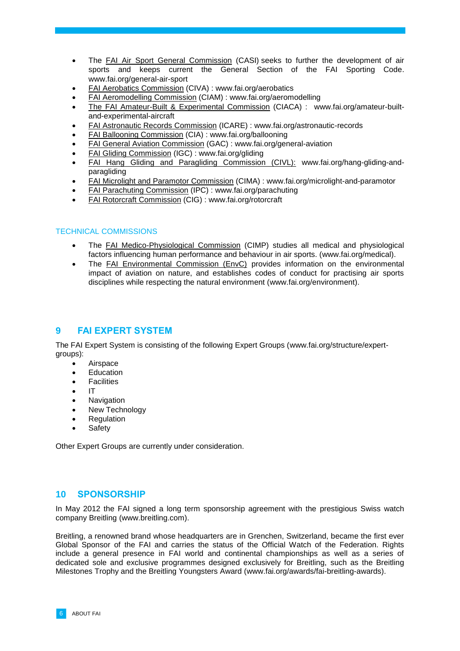- The FAI Air Sport General Commission (CASI) seeks to further the development of air sports and keeps current the General Section of the FAI Sporting Code. [www.fai.org/general-air-sport](http://www.fai.org/general-air-sport)
- FAI Aerobatics Commission (CIVA) : [www.fai.org/aerobatics](http://www.fai.org/aerobatics)
- FAI Aeromodelling Commission (CIAM) : [www.fai.org/aeromodelling](http://www.fai.org/aeromodelling)
- The FAI Amateur-Built & Experimental Commission (CIACA) : [www.fai.org/amateur-built](http://www.fai.org/amateur-built-and-experimental-aircraft)[and-experimental-aircraft](http://www.fai.org/amateur-built-and-experimental-aircraft)
- FAI Astronautic Records Commission (ICARE) : [www.fai.org/astronautic-records](http://www.fai.org/astronautic-records)
- FAI Ballooning Commission (CIA) : [www.fai.org/ballooning](http://www.fai.org/ballooning)
- FAI General Aviation Commission (GAC) : [www.fai.org/general-aviation](http://www.fai.org/general-aviation)
- FAI Gliding Commission (IGC) : [www.fai.org/gliding](http://www.fai.org/gliding)
- FAI Hang Gliding and Paragliding Commission (CIVL): [www.fai.org/hang-gliding-and](http://www.fai.org/hang-gliding-and-paragliding)[paragliding](http://www.fai.org/hang-gliding-and-paragliding)
- FAI Microlight and Paramotor Commission (CIMA) : [www.fai.org/microlight-and-paramotor](http://www.fai.org/microlight-and-paramotor)
- FAI Parachuting Commission (IPC) : [www.fai.org/parachuting](http://www.fai.org/parachuting)
- FAI Rotorcraft Commission (CIG) : [www.fai.org/rotorcraft](http://www.fai.org/rotorcraft)

#### TECHNICAL COMMISSIONS

- The FAI Medico-Physiological Commission (CIMP) studies all medical and physiological factors influencing human performance and behaviour in air sports. [\(www.fai.org/medical\)](http://www.fai.org/medical).
- The FAI Environmental Commission (EnvC) provides information on the environmental impact of aviation on nature, and establishes codes of conduct for practising air sports disciplines while respecting the natural environment [\(www.fai.org/environment\)](http://www.fai.org/environment).

# <span id="page-5-0"></span>**9 FAI EXPERT SYSTEM**

The FAI Expert System is consisting of the following Expert Groups [\(www.fai.org/structure/expert](http://www.fai.org/structure/expert-groups)[groups\)](http://www.fai.org/structure/expert-groups):

- Airspace
- Education
- **Facilities**
- IT
- Navigation
- New Technology
- **Regulation**
- Safety

Other Expert Groups are currently under consideration.

## <span id="page-5-1"></span>**10 SPONSORSHIP**

In May 2012 the FAI signed a long term sponsorship agreement with the prestigious Swiss watch company Breitling [\(www.breitling.com\)](http://www.breitling.com/).

Breitling, a renowned brand whose headquarters are in Grenchen, Switzerland, became the first ever Global Sponsor of the FAI and carries the status of the Official Watch of the Federation. Rights include a general presence in FAI world and continental championships as well as a series of dedicated sole and exclusive programmes designed exclusively for Breitling, such as the Breitling Milestones Trophy and the Breitling Youngsters Award [\(www.fai.org/awards/fai-breitling-awards\)](http://www.fai.org/awards/fai-breitling-awards).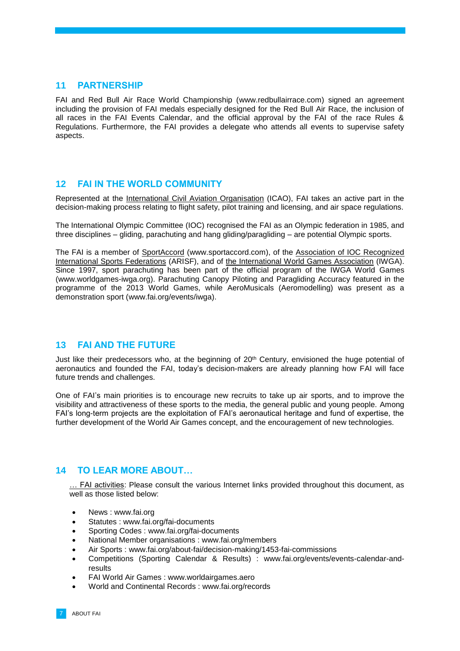#### <span id="page-6-0"></span>**11 PARTNERSHIP**

FAI and Red Bull Air Race World Championship [\(www.redbullairrace.com\)](http://www.redbullairrace.com/) signed an agreement including the provision of FAI medals especially designed for the Red Bull Air Race, the inclusion of all races in the FAI Events Calendar, and the official approval by the FAI of the race Rules & Regulations. Furthermore, the FAI provides a delegate who attends all events to supervise safety aspects.

## <span id="page-6-1"></span>**12 FAI IN THE WORLD COMMUNITY**

Represented at the International Civil Aviation Organisation (ICAO), FAI takes an active part in the decision-making process relating to flight safety, pilot training and licensing, and air space regulations.

The International Olympic Committee (IOC) recognised the FAI as an Olympic federation in 1985, and three disciplines – gliding, parachuting and hang gliding/paragliding – are potential Olympic sports.

The FAI is a member of SportAccord [\(www.sportaccord.com\)](file:///C:/Users/fca/Desktop/AppData/Local/Temp/www.sportaccord.com), of the Association of IOC Recognized International Sports Federations (ARISF), and of the International World Games Association (IWGA). Since 1997, sport parachuting has been part of the official program of the IWGA World Games [\(www.worldgames-iwga.org\)](http://www.worldgames-iwga.org/). Parachuting Canopy Piloting and Paragliding Accuracy featured in the programme of the 2013 World Games, while AeroMusicals (Aeromodelling) was present as a demonstration sport [\(www.fai.org/events/iwga\)](http://www.fai.org/events/iwga).

## <span id="page-6-2"></span>**13 FAI AND THE FUTURE**

Just like their predecessors who, at the beginning of 20<sup>th</sup> Century, envisioned the huge potential of aeronautics and founded the FAI, today's decision-makers are already planning how FAI will face future trends and challenges.

One of FAI's main priorities is to encourage new recruits to take up air sports, and to improve the visibility and attractiveness of these sports to the media, the general public and young people. Among FAI's long-term projects are the exploitation of FAI's aeronautical heritage and fund of expertise, the further development of the World Air Games concept, and the encouragement of new technologies.

# <span id="page-6-3"></span>**14 TO LEAR MORE ABOUT…**

… FAI activities: Please consult the various Internet links provided throughout this document, as well as those listed below:

- News : [www.fai.org](http://www.fai.org/)
- Statutes : [www.fai.org/fai-documents](http://www.fai.org/fai-documents)
- Sporting Codes : [www.fai.org/fai-documents](http://www.fai.org/fai-documents)
- National Member organisations : [www.fai.org/members](http://www.fai.org/members)
- Air Sports : [www.fai.org/about-fai/decision-making/1453-fai-commissions](http://www.fai.org/about-fai/decision-making/1453-fai-commissions)
- Competitions (Sporting Calendar & Results) : [www.fai.org/events/events-calendar-and](http://www.fai.org/events/events-calendar-and-results)[results](http://www.fai.org/events/events-calendar-and-results)
- FAI World Air Games : [www.worldairgames.aero](http://www.worldairgames.aero/)
- World and Continental Records : [www.fai.org/records](http://www.fai.org/records/)